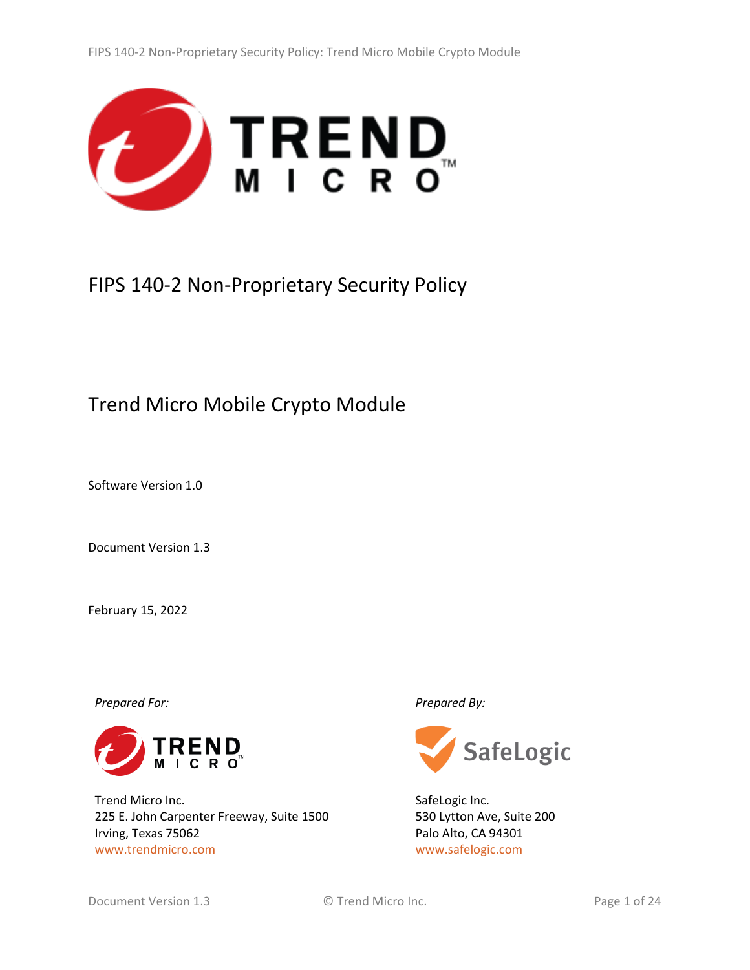

# FIPS 140-2 Non-Proprietary Security Policy

# Trend Micro Mobile Crypto Module

Software Version 1.0

Document Version 1.3

February 15, 2022

*Prepared For: Prepared By:*



Trend Micro Inc. 225 E. John Carpenter Freeway, Suite 1500 Irving, Texas 75062 [www.trendmicro.com](http://www.trendmicro.com/)



SafeLogic Inc. 530 Lytton Ave, Suite 200 Palo Alto, CA 94301 [www.safelogic.com](http://www.safelogic.com/)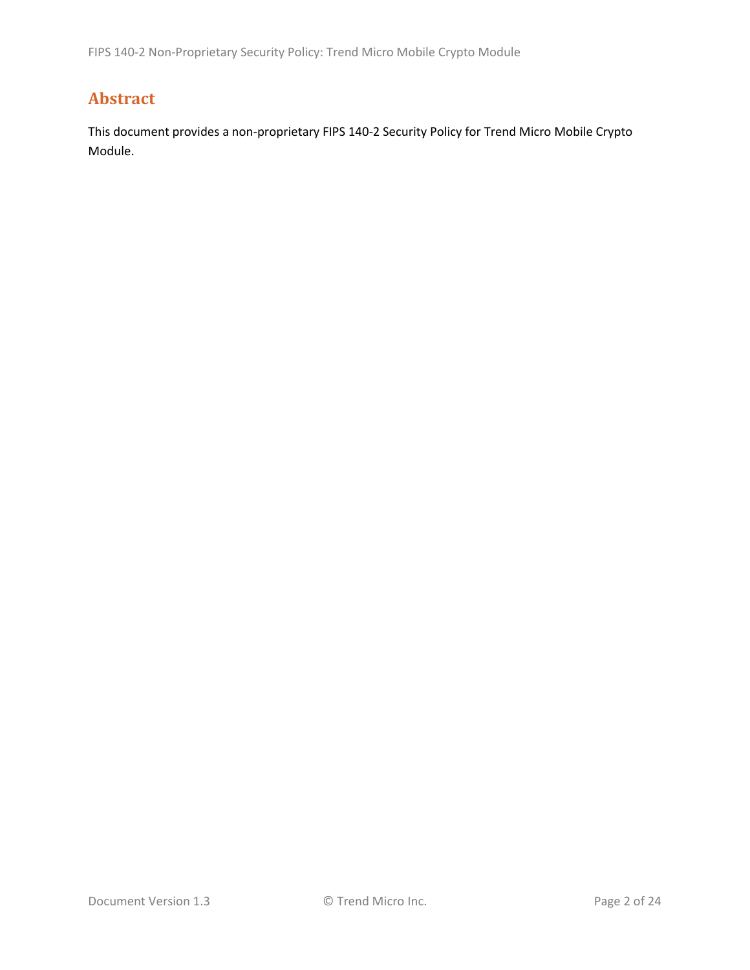# <span id="page-1-0"></span>**Abstract**

This document provides a non-proprietary FIPS 140-2 Security Policy for Trend Micro Mobile Crypto Module.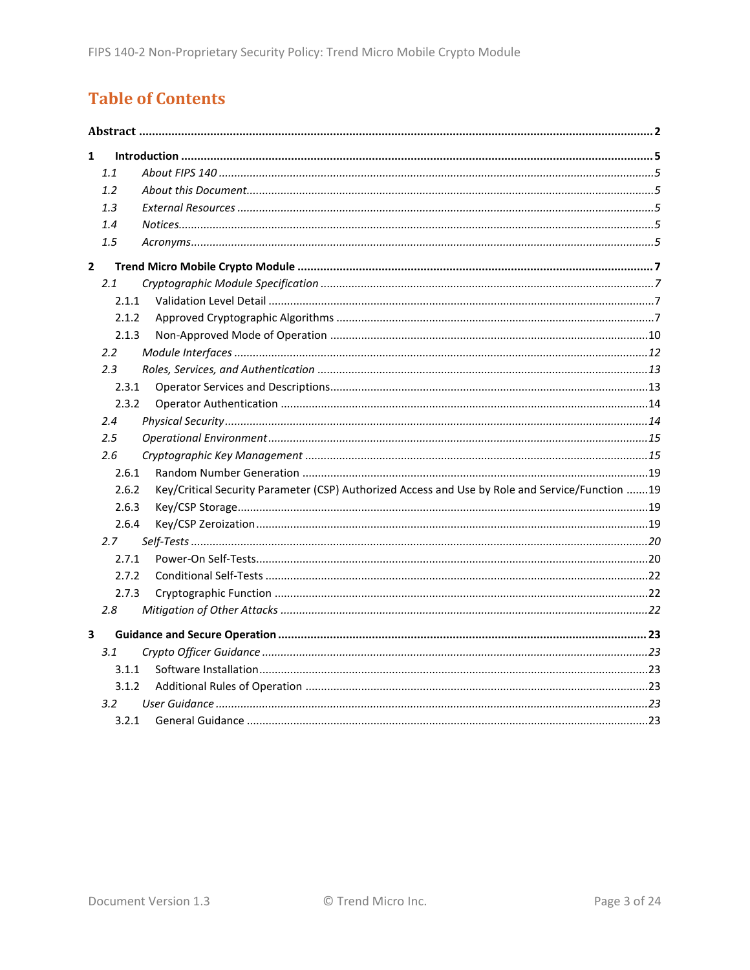# **Table of Contents**

| 1              |                  |                                                                                                 |  |  |  |
|----------------|------------------|-------------------------------------------------------------------------------------------------|--|--|--|
|                | 1.1              |                                                                                                 |  |  |  |
|                | 1.2              |                                                                                                 |  |  |  |
|                | 1.3              |                                                                                                 |  |  |  |
|                | 1.4              |                                                                                                 |  |  |  |
|                | 1.5              |                                                                                                 |  |  |  |
| $\overline{2}$ |                  |                                                                                                 |  |  |  |
|                | 2.1              |                                                                                                 |  |  |  |
|                | 2.1.1            |                                                                                                 |  |  |  |
|                | 2.1.2            |                                                                                                 |  |  |  |
|                | 2.1.3            |                                                                                                 |  |  |  |
|                | $2.2\phantom{0}$ |                                                                                                 |  |  |  |
|                | 2.3              |                                                                                                 |  |  |  |
|                | 2.3.1            |                                                                                                 |  |  |  |
|                | 2.3.2            |                                                                                                 |  |  |  |
|                | 2.4              |                                                                                                 |  |  |  |
|                | 2.5              |                                                                                                 |  |  |  |
|                | 2.6              |                                                                                                 |  |  |  |
|                | 2.6.1            |                                                                                                 |  |  |  |
|                | 2.6.2            | Key/Critical Security Parameter (CSP) Authorized Access and Use by Role and Service/Function 19 |  |  |  |
|                | 2.6.3            |                                                                                                 |  |  |  |
|                | 2.6.4            |                                                                                                 |  |  |  |
|                | 2.7              |                                                                                                 |  |  |  |
|                | 2.7.1            |                                                                                                 |  |  |  |
|                | 2.7.2            |                                                                                                 |  |  |  |
|                | 2.7.3            |                                                                                                 |  |  |  |
|                | 2.8              |                                                                                                 |  |  |  |
| 3              |                  |                                                                                                 |  |  |  |
|                | 3.1              |                                                                                                 |  |  |  |
|                | 3.1.1            |                                                                                                 |  |  |  |
|                | 3.1.2            |                                                                                                 |  |  |  |
|                | 3.2              |                                                                                                 |  |  |  |
|                | 3.2.1            |                                                                                                 |  |  |  |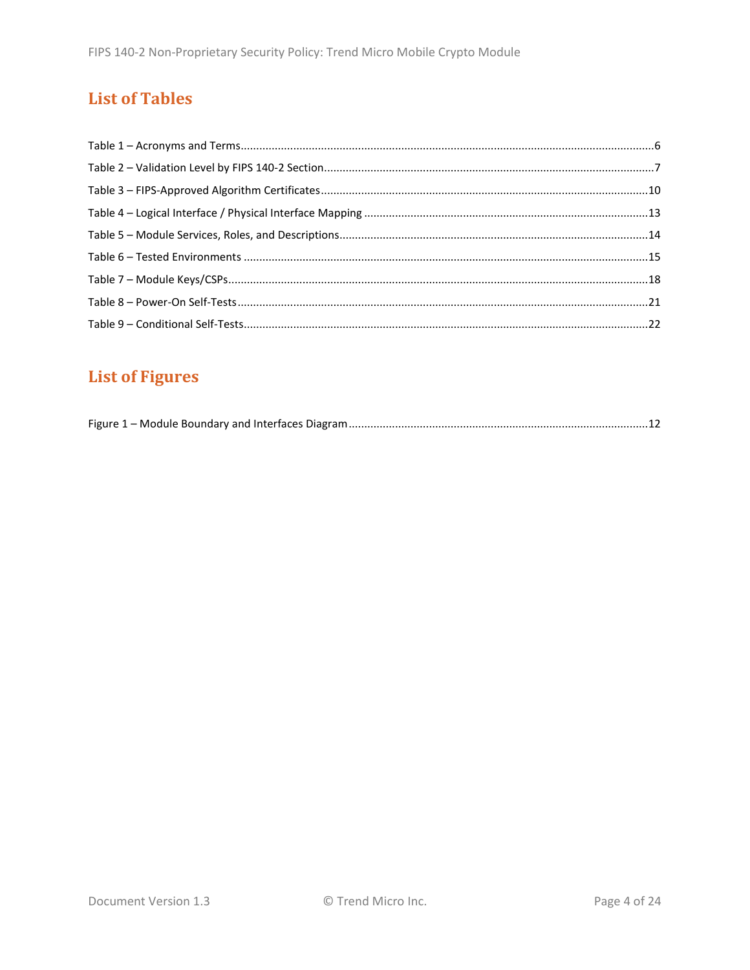# **List of Tables**

# **List of Figures**

|--|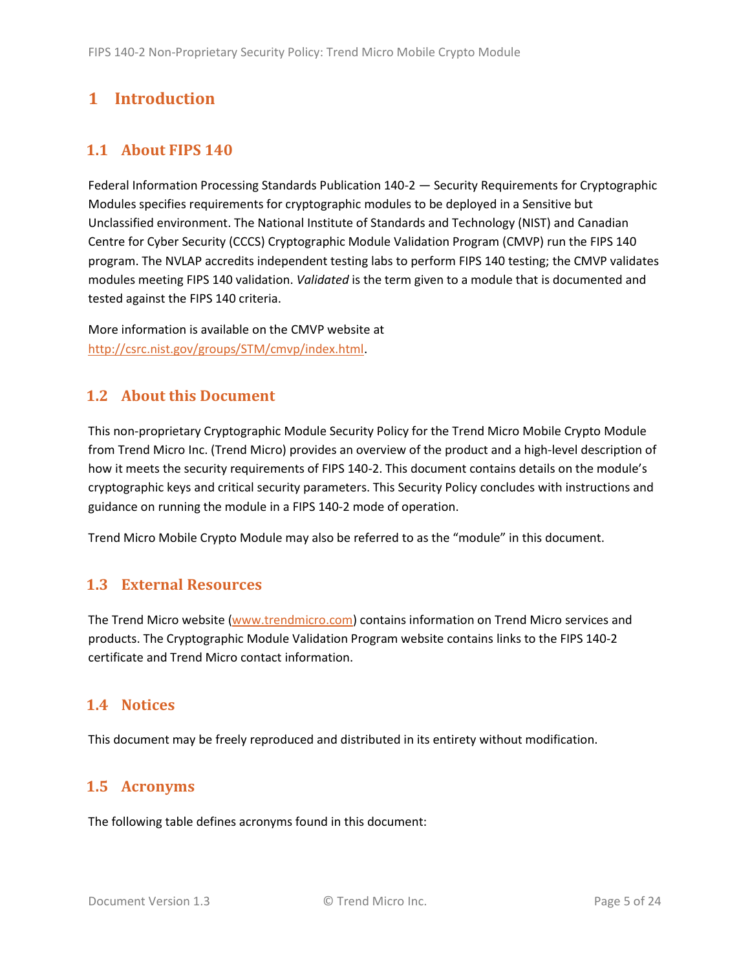# <span id="page-4-0"></span>**1 Introduction**

## <span id="page-4-1"></span>**1.1 About FIPS 140**

Federal Information Processing Standards Publication 140-2 — Security Requirements for Cryptographic Modules specifies requirements for cryptographic modules to be deployed in a Sensitive but Unclassified environment. The National Institute of Standards and Technology (NIST) and Canadian Centre for Cyber Security (CCCS) Cryptographic Module Validation Program (CMVP) run the FIPS 140 program. The NVLAP accredits independent testing labs to perform FIPS 140 testing; the CMVP validates modules meeting FIPS 140 validation. *Validated* is the term given to a module that is documented and tested against the FIPS 140 criteria.

More information is available on the CMVP website at [http://csrc.nist.gov/groups/STM/cmvp/index.html.](http://csrc.nist.gov/groups/STM/cmvp/index.html)

## <span id="page-4-2"></span>**1.2 About this Document**

This non-proprietary Cryptographic Module Security Policy for the Trend Micro Mobile Crypto Module from Trend Micro Inc. (Trend Micro) provides an overview of the product and a high-level description of how it meets the security requirements of FIPS 140-2. This document contains details on the module's cryptographic keys and critical security parameters. This Security Policy concludes with instructions and guidance on running the module in a FIPS 140-2 mode of operation.

Trend Micro Mobile Crypto Module may also be referred to as the "module" in this document.

## <span id="page-4-3"></span>**1.3 External Resources**

The Trend Micro website [\(www.trendmicro.com\)](http://www.trendmicro.com/) contains information on Trend Micro services and products. The Cryptographic Module Validation Program website contains links to the FIPS 140-2 certificate and Trend Micro contact information.

#### <span id="page-4-4"></span>**1.4 Notices**

This document may be freely reproduced and distributed in its entirety without modification.

## <span id="page-4-5"></span>**1.5 Acronyms**

The following table defines acronyms found in this document: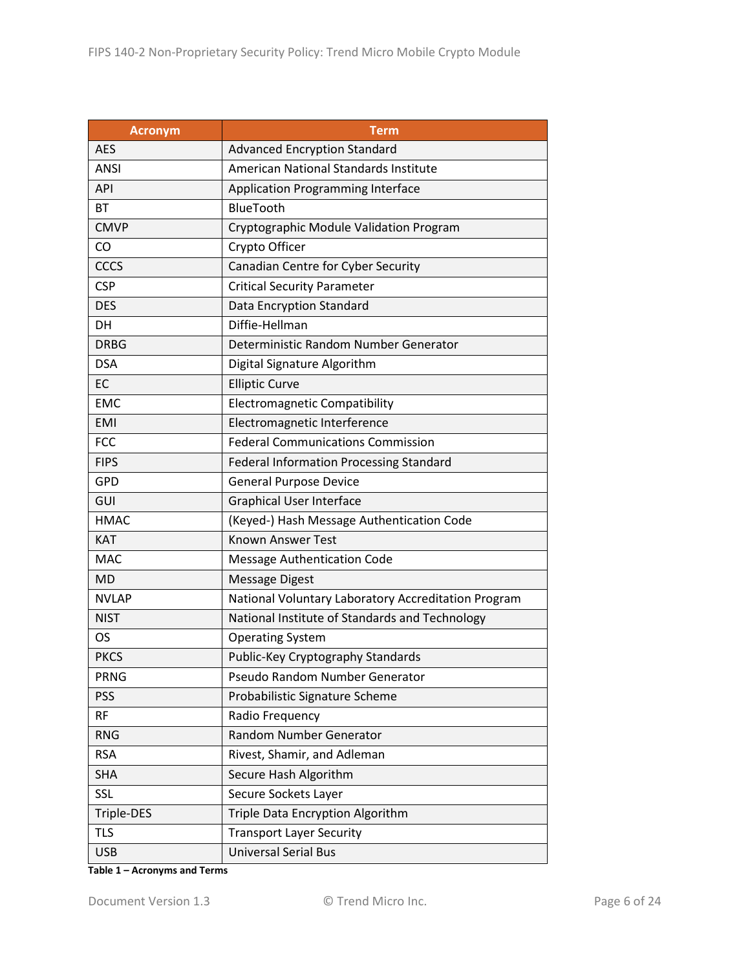| <b>Acronym</b> | <b>Term</b>                                         |  |  |  |
|----------------|-----------------------------------------------------|--|--|--|
| <b>AES</b>     | <b>Advanced Encryption Standard</b>                 |  |  |  |
| <b>ANSI</b>    | American National Standards Institute               |  |  |  |
| <b>API</b>     | <b>Application Programming Interface</b>            |  |  |  |
| BT             | BlueTooth                                           |  |  |  |
| <b>CMVP</b>    | Cryptographic Module Validation Program             |  |  |  |
| CO             | Crypto Officer                                      |  |  |  |
| <b>CCCS</b>    | Canadian Centre for Cyber Security                  |  |  |  |
| <b>CSP</b>     | <b>Critical Security Parameter</b>                  |  |  |  |
| <b>DES</b>     | Data Encryption Standard                            |  |  |  |
| <b>DH</b>      | Diffie-Hellman                                      |  |  |  |
| <b>DRBG</b>    | Deterministic Random Number Generator               |  |  |  |
| <b>DSA</b>     | Digital Signature Algorithm                         |  |  |  |
| EC             | <b>Elliptic Curve</b>                               |  |  |  |
| <b>EMC</b>     | <b>Electromagnetic Compatibility</b>                |  |  |  |
| <b>EMI</b>     | Electromagnetic Interference                        |  |  |  |
| <b>FCC</b>     | <b>Federal Communications Commission</b>            |  |  |  |
| <b>FIPS</b>    | <b>Federal Information Processing Standard</b>      |  |  |  |
| <b>GPD</b>     | <b>General Purpose Device</b>                       |  |  |  |
| GUI            | <b>Graphical User Interface</b>                     |  |  |  |
| <b>HMAC</b>    | (Keyed-) Hash Message Authentication Code           |  |  |  |
| KAT            | <b>Known Answer Test</b>                            |  |  |  |
| <b>MAC</b>     | <b>Message Authentication Code</b>                  |  |  |  |
| <b>MD</b>      | <b>Message Digest</b>                               |  |  |  |
| <b>NVLAP</b>   | National Voluntary Laboratory Accreditation Program |  |  |  |
| <b>NIST</b>    | National Institute of Standards and Technology      |  |  |  |
| <b>OS</b>      | <b>Operating System</b>                             |  |  |  |
| <b>PKCS</b>    | Public-Key Cryptography Standards                   |  |  |  |
| <b>PRNG</b>    | Pseudo Random Number Generator                      |  |  |  |
| <b>PSS</b>     | Probabilistic Signature Scheme                      |  |  |  |
| <b>RF</b>      | Radio Frequency                                     |  |  |  |
| <b>RNG</b>     | Random Number Generator                             |  |  |  |
| <b>RSA</b>     | Rivest, Shamir, and Adleman                         |  |  |  |
| <b>SHA</b>     | Secure Hash Algorithm                               |  |  |  |
| <b>SSL</b>     | Secure Sockets Layer                                |  |  |  |
| Triple-DES     | Triple Data Encryption Algorithm                    |  |  |  |
| <b>TLS</b>     | <b>Transport Layer Security</b>                     |  |  |  |
| <b>USB</b>     | <b>Universal Serial Bus</b>                         |  |  |  |

**Table 1 – Acronyms and Terms**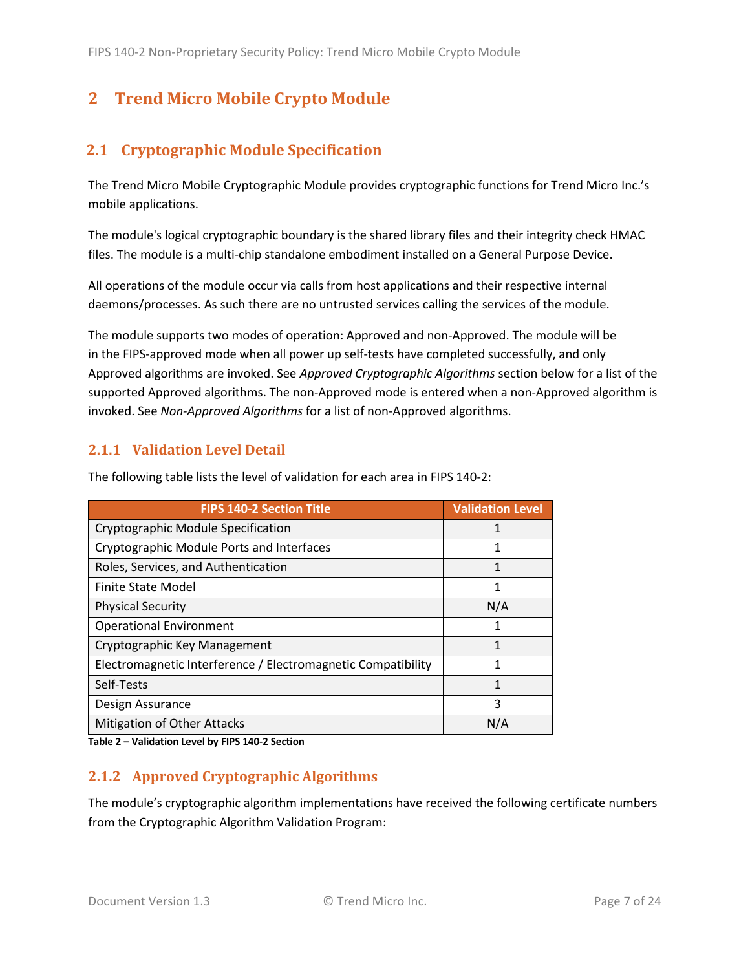# <span id="page-6-0"></span>**2 Trend Micro Mobile Crypto Module**

# <span id="page-6-1"></span>**2.1 Cryptographic Module Specification**

The Trend Micro Mobile Cryptographic Module provides cryptographic functions for Trend Micro Inc.'s mobile applications.

The module's logical cryptographic boundary is the shared library files and their integrity check HMAC files. The module is a multi-chip standalone embodiment installed on a General Purpose Device.

All operations of the module occur via calls from host applications and their respective internal daemons/processes. As such there are no untrusted services calling the services of the module.

The module supports two modes of operation: Approved and non-Approved. The module will be in the FIPS-approved mode when all power up self-tests have completed successfully, and only Approved algorithms are invoked. See *Approved Cryptographic Algorithms* section below for a list of the supported Approved algorithms. The non-Approved mode is entered when a non-Approved algorithm is invoked. See *Non-Approved Algorithms* for a list of non-Approved algorithms.

#### <span id="page-6-2"></span>**2.1.1 Validation Level Detail**

**FIPS 140-2 Section Title Validation Level** Cryptographic Module Specification 1 Cryptographic Module Ports and Interfaces 1 Roles, Services, and Authentication 1 and 1 and 1 and 1 and 1 and 1 and 1 and 1 and 1 and 1 and 1 and 1 and 1 and 1 and 1 and 1 and 1 and 1 and 1 and 1 and 1 and 1 and 1 and 1 and 1 and 1 and 1 and 1 and 1 and 1 and 1 and Finite State Model 2008 2009 12:00:00 12:00:00 12:00:00 12:00:00 12:00:00 12:00:00 12:00:00 12:00:00 12:00:00 1 Physical Security N/A Operational Environment 1 and 1 and 1 and 1 and 1 and 1 and 1 and 1 and 1 and 1 and 1 and 1 and 1 and 1 and 1 and 1 and 1 and 1 and 1 and 1 and 1 and 1 and 1 and 1 and 1 and 1 and 1 and 1 and 1 and 1 and 1 and 1 and 1 and Cryptographic Key Management 1 and 1 and 1 1 and 1 1 and 1 1 and 1 1 and 1 1 and 1 1 and 1 1 and 1 1 and 1 1 and 1 1 and 1 and 1 and 1 and 1 and 1 and 1 and 1 and 1 and 1 and 1 and 1 and 1 and 1 and 1 and 1 and 1 and 1 and Electromagnetic Interference / Electromagnetic Compatibility | 1 Self-Tests 2014 12:00 12:00 12:00 12:00 12:00 12:00 12:00 12:00 12:00 12:00 12:00 12:00 12:00 12:00 12:00 12:00 12:00 12:00 12:00 12:00 12:00 12:00 12:00 12:00 12:00 12:00 12:00 12:00 12:00 12:00 12:00 12:00 12:00 12:00 12 Design Assurance 3 Mitigation of Other Attacks N/A N/A

The following table lists the level of validation for each area in FIPS 140-2:

**Table 2 – Validation Level by FIPS 140-2 Section**

## <span id="page-6-3"></span>**2.1.2 Approved Cryptographic Algorithms**

The module's cryptographic algorithm implementations have received the following certificate numbers from the Cryptographic Algorithm Validation Program: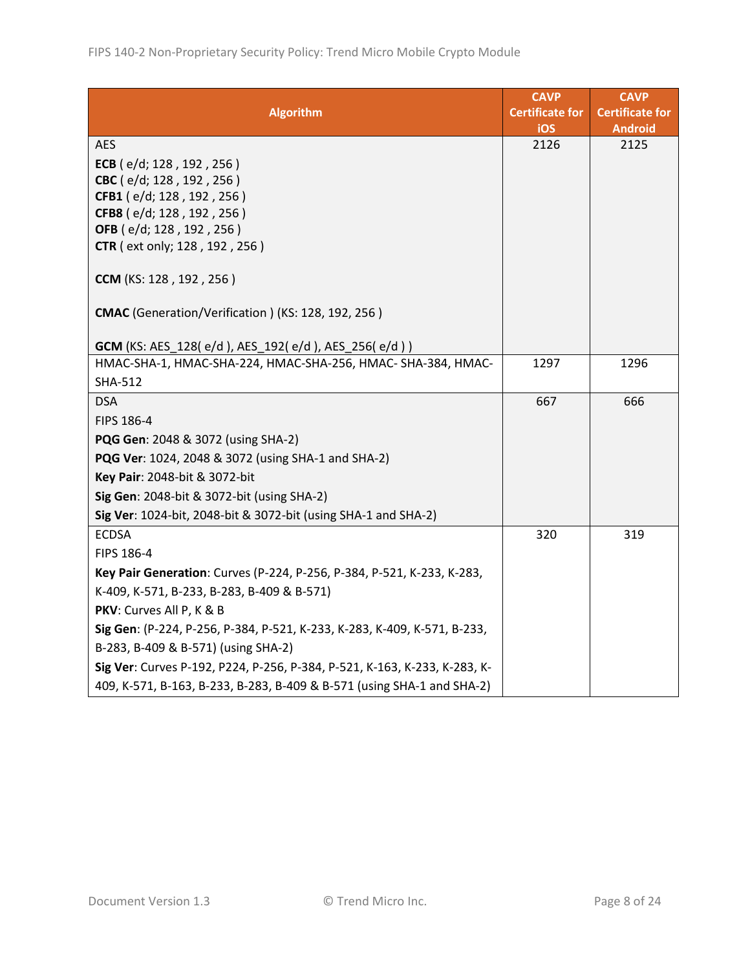|                                                                           | <b>CAVP</b>            | <b>CAVP</b>            |
|---------------------------------------------------------------------------|------------------------|------------------------|
| <b>Algorithm</b>                                                          | <b>Certificate for</b> | <b>Certificate for</b> |
|                                                                           | iOS                    | <b>Android</b>         |
| <b>AES</b>                                                                | 2126                   | 2125                   |
| ECB (e/d; 128, 192, 256)                                                  |                        |                        |
| CBC (e/d; 128, 192, 256)                                                  |                        |                        |
| CFB1 (e/d; 128, 192, 256)<br>CFB8 (e/d; 128, 192, 256)                    |                        |                        |
| OFB (e/d; 128, 192, 256)                                                  |                        |                        |
| CTR (ext only; 128, 192, 256)                                             |                        |                        |
|                                                                           |                        |                        |
| CCM (KS: 128, 192, 256)                                                   |                        |                        |
| CMAC (Generation/Verification) (KS: 128, 192, 256)                        |                        |                        |
|                                                                           |                        |                        |
| <b>GCM</b> (KS: AES_128(e/d), AES_192(e/d), AES_256(e/d))                 |                        |                        |
| HMAC-SHA-1, HMAC-SHA-224, HMAC-SHA-256, HMAC-SHA-384, HMAC-               | 1297                   | 1296                   |
| <b>SHA-512</b>                                                            |                        |                        |
| <b>DSA</b>                                                                | 667                    | 666                    |
| FIPS 186-4                                                                |                        |                        |
| PQG Gen: 2048 & 3072 (using SHA-2)                                        |                        |                        |
| PQG Ver: 1024, 2048 & 3072 (using SHA-1 and SHA-2)                        |                        |                        |
| Key Pair: 2048-bit & 3072-bit                                             |                        |                        |
| Sig Gen: 2048-bit & 3072-bit (using SHA-2)                                |                        |                        |
| Sig Ver: 1024-bit, 2048-bit & 3072-bit (using SHA-1 and SHA-2)            |                        |                        |
| <b>ECDSA</b>                                                              | 320                    | 319                    |
| FIPS 186-4                                                                |                        |                        |
| Key Pair Generation: Curves (P-224, P-256, P-384, P-521, K-233, K-283,    |                        |                        |
| K-409, K-571, B-233, B-283, B-409 & B-571)                                |                        |                        |
| PKV: Curves All P, K & B                                                  |                        |                        |
| Sig Gen: (P-224, P-256, P-384, P-521, K-233, K-283, K-409, K-571, B-233,  |                        |                        |
| B-283, B-409 & B-571) (using SHA-2)                                       |                        |                        |
| Sig Ver: Curves P-192, P224, P-256, P-384, P-521, K-163, K-233, K-283, K- |                        |                        |
| 409, K-571, B-163, B-233, B-283, B-409 & B-571 (using SHA-1 and SHA-2)    |                        |                        |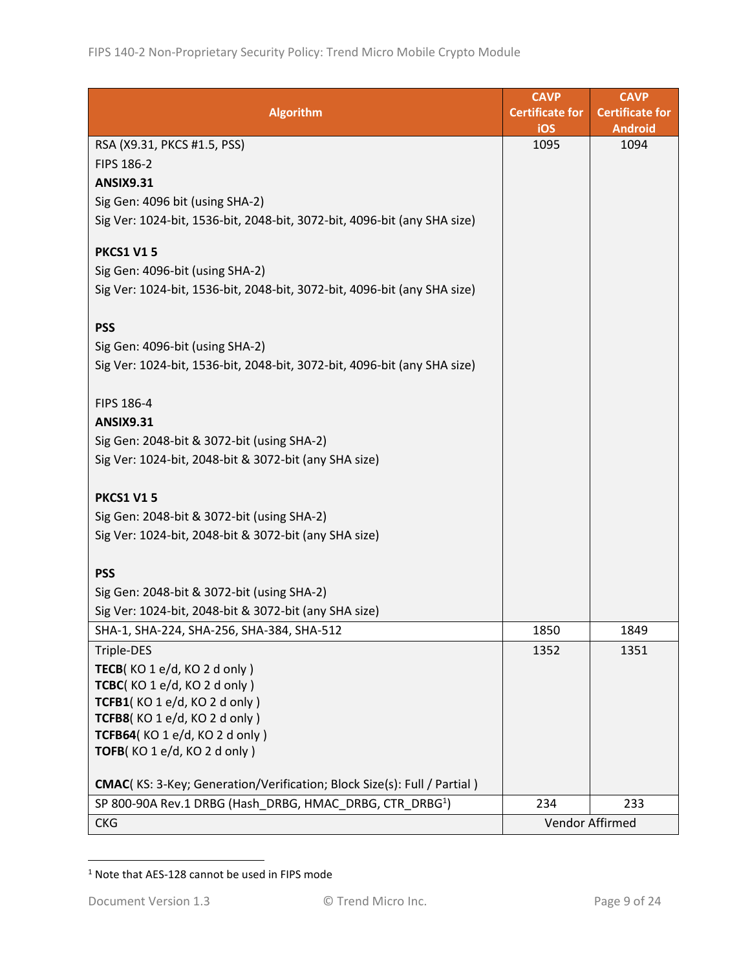|                                                                          | <b>CAVP</b>            | <b>CAVP</b>            |
|--------------------------------------------------------------------------|------------------------|------------------------|
| <b>Algorithm</b>                                                         | <b>Certificate for</b> | <b>Certificate for</b> |
|                                                                          | iOS                    | <b>Android</b>         |
| RSA (X9.31, PKCS #1.5, PSS)                                              | 1095                   | 1094                   |
| FIPS 186-2                                                               |                        |                        |
| <b>ANSIX9.31</b>                                                         |                        |                        |
| Sig Gen: 4096 bit (using SHA-2)                                          |                        |                        |
| Sig Ver: 1024-bit, 1536-bit, 2048-bit, 3072-bit, 4096-bit (any SHA size) |                        |                        |
| <b>PKCS1 V15</b>                                                         |                        |                        |
| Sig Gen: 4096-bit (using SHA-2)                                          |                        |                        |
| Sig Ver: 1024-bit, 1536-bit, 2048-bit, 3072-bit, 4096-bit (any SHA size) |                        |                        |
| <b>PSS</b>                                                               |                        |                        |
| Sig Gen: 4096-bit (using SHA-2)                                          |                        |                        |
|                                                                          |                        |                        |
| Sig Ver: 1024-bit, 1536-bit, 2048-bit, 3072-bit, 4096-bit (any SHA size) |                        |                        |
| FIPS 186-4                                                               |                        |                        |
| <b>ANSIX9.31</b>                                                         |                        |                        |
| Sig Gen: 2048-bit & 3072-bit (using SHA-2)                               |                        |                        |
| Sig Ver: 1024-bit, 2048-bit & 3072-bit (any SHA size)                    |                        |                        |
|                                                                          |                        |                        |
| <b>PKCS1 V15</b>                                                         |                        |                        |
| Sig Gen: 2048-bit & 3072-bit (using SHA-2)                               |                        |                        |
| Sig Ver: 1024-bit, 2048-bit & 3072-bit (any SHA size)                    |                        |                        |
|                                                                          |                        |                        |
| <b>PSS</b>                                                               |                        |                        |
| Sig Gen: 2048-bit & 3072-bit (using SHA-2)                               |                        |                        |
| Sig Ver: 1024-bit, 2048-bit & 3072-bit (any SHA size)                    |                        |                        |
| SHA-1, SHA-224, SHA-256, SHA-384, SHA-512                                | 1850                   | 1849                   |
| Triple-DES                                                               | 1352                   | 1351                   |
| TECB(KO1e/d, KO2d only)                                                  |                        |                        |
| TCBC(KO1e/d, KO2donly)                                                   |                        |                        |
| TCFB1(KO1e/d, KO2d only)                                                 |                        |                        |
| TCFB8(KO1e/d, KO2donly)                                                  |                        |                        |
| TCFB64(KO1e/d, KO2d only)                                                |                        |                        |
| TOFB(KO 1 e/d, KO 2 d only)                                              |                        |                        |
| CMAC(KS: 3-Key; Generation/Verification; Block Size(s): Full / Partial)  |                        |                        |
| SP 800-90A Rev.1 DRBG (Hash_DRBG, HMAC_DRBG, CTR_DRBG <sup>1</sup> )     | 234                    | 233                    |
| <b>CKG</b>                                                               | Vendor Affirmed        |                        |

<sup>1</sup> Note that AES-128 cannot be used in FIPS mode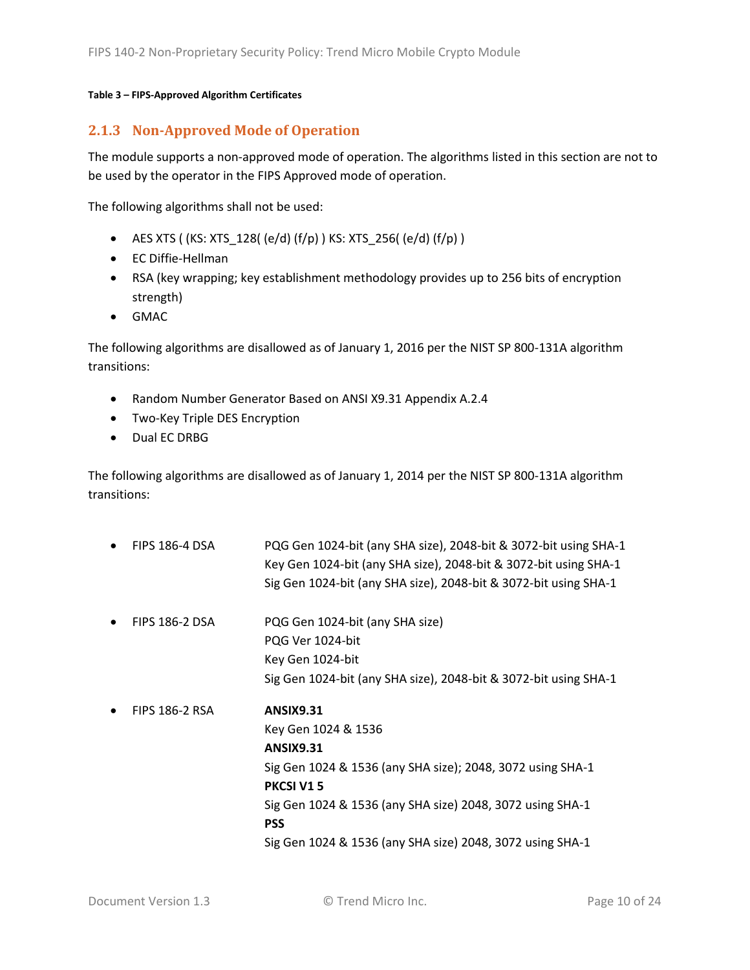#### **Table 3 – FIPS-Approved Algorithm Certificates**

#### <span id="page-9-0"></span>**2.1.3 Non-Approved Mode of Operation**

The module supports a non-approved mode of operation. The algorithms listed in this section are not to be used by the operator in the FIPS Approved mode of operation.

The following algorithms shall not be used:

- AES XTS (  $(KS: XTS_128$   $( e/d)$   $(f/p)$  )  $KS: XTS_256$   $( e/d)$   $(f/p)$  )
- EC Diffie-Hellman
- RSA (key wrapping; key establishment methodology provides up to 256 bits of encryption strength)
- GMAC

The following algorithms are disallowed as of January 1, 2016 per the NIST SP 800-131A algorithm transitions:

- Random Number Generator Based on ANSI X9.31 Appendix A.2.4
- Two-Key Triple DES Encryption
- Dual EC DRBG

The following algorithms are disallowed as of January 1, 2014 per the NIST SP 800-131A algorithm transitions:

• FIPS 186-4 DSA PQG Gen 1024-bit (any SHA size), 2048-bit & 3072-bit using SHA-1 Key Gen 1024-bit (any SHA size), 2048-bit & 3072-bit using SHA-1 Sig Gen 1024-bit (any SHA size), 2048-bit & 3072-bit using SHA-1 • FIPS 186-2 DSA PQG Gen 1024-bit (any SHA size) PQG Ver 1024-bit Key Gen 1024-bit Sig Gen 1024-bit (any SHA size), 2048-bit & 3072-bit using SHA-1 • FIPS 186-2 RSA **ANSIX9.31** Key Gen 1024 & 1536 **ANSIX9.31** Sig Gen 1024 & 1536 (any SHA size); 2048, 3072 using SHA-1 **PKCSI V1 5** Sig Gen 1024 & 1536 (any SHA size) 2048, 3072 using SHA-1 **PSS**  Sig Gen 1024 & 1536 (any SHA size) 2048, 3072 using SHA-1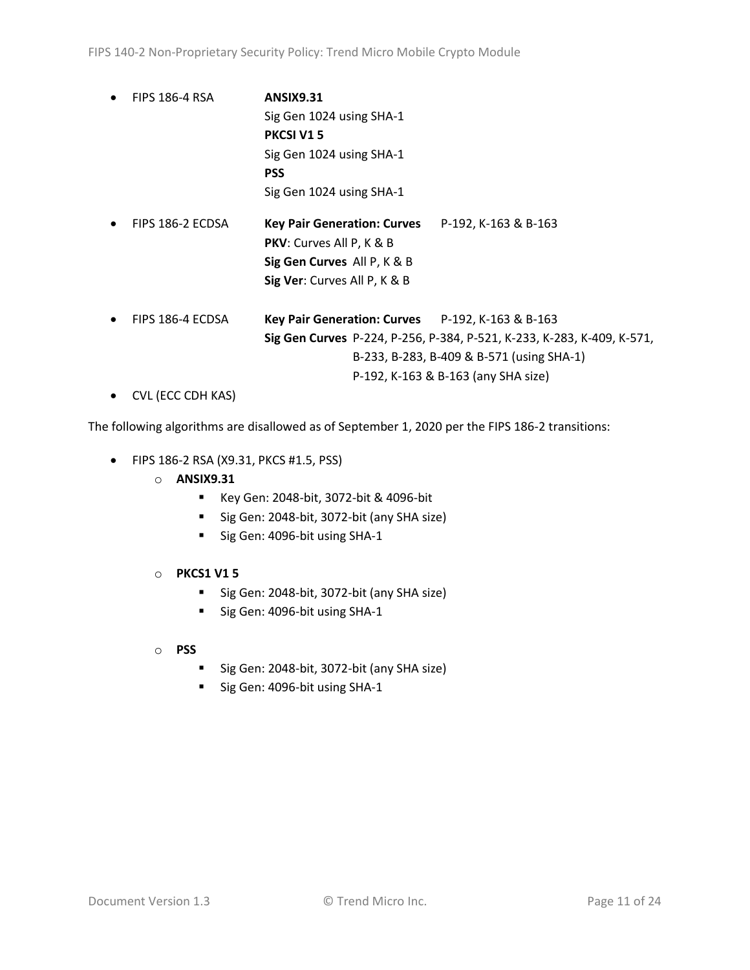• FIPS 186-4 RSA **ANSIX9.31**  Sig Gen 1024 using SHA-1 **PKCSI V1 5** Sig Gen 1024 using SHA-1 **PSS** Sig Gen 1024 using SHA-1 • FIPS 186-2 ECDSA **Key Pair Generation: Curves** P-192, K-163 & B-163 **PKV**: Curves All P, K & B **Sig Gen Curves** All P, K & B **Sig Ver**: Curves All P, K & B • FIPS 186-4 ECDSA **Key Pair Generation: Curves** P-192, K-163 & B-163 **Sig Gen Curves** P-224, P-256, P-384, P-521, K-233, K-283, K-409, K-571, B-233, B-283, B-409 & B-571 (using SHA-1) P-192, K-163 & B-163 (any SHA size) • CVL (ECC CDH KAS)

The following algorithms are disallowed as of September 1, 2020 per the FIPS 186-2 transitions:

- FIPS 186-2 RSA (X9.31, PKCS #1.5, PSS)
	- o **ANSIX9.31**
		- Key Gen: 2048-bit, 3072-bit & 4096-bit
		- Sig Gen: 2048-bit, 3072-bit (any SHA size)
		- Sig Gen: 4096-bit using SHA-1
	- o **PKCS1 V1 5**
		- Sig Gen: 2048-bit, 3072-bit (any SHA size)
		- Sig Gen: 4096-bit using SHA-1
	- o **PSS**
		- Sig Gen: 2048-bit, 3072-bit (any SHA size)
		- Sig Gen: 4096-bit using SHA-1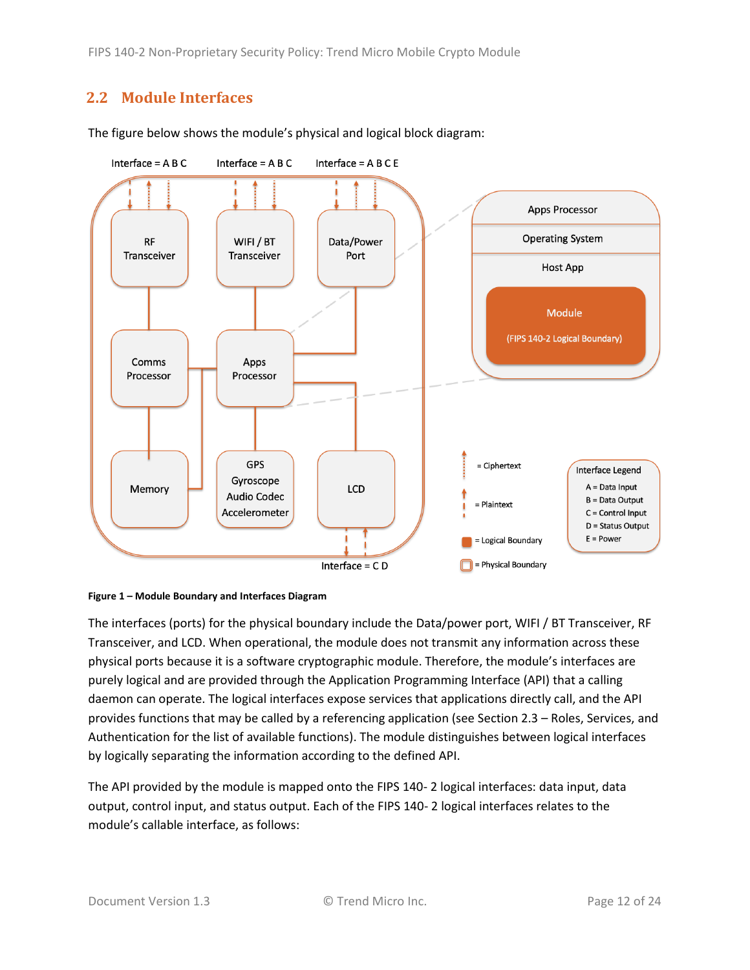FIPS 140-2 Non-Proprietary Security Policy: Trend Micro Mobile Crypto Module

## <span id="page-11-0"></span>**2.2 Module Interfaces**



The figure below shows the module's physical and logical block diagram:

<span id="page-11-1"></span>

The interfaces (ports) for the physical boundary include the Data/power port, WIFI / BT Transceiver, RF Transceiver, and LCD. When operational, the module does not transmit any information across these physical ports because it is a software cryptographic module. Therefore, the module's interfaces are purely logical and are provided through the Application Programming Interface (API) that a calling daemon can operate. The logical interfaces expose services that applications directly call, and the API provides functions that may be called by a referencing application (see Sectio[n 2.3](#page-12-0) – [Roles, Services, and](#page-12-0)  [Authentication](#page-12-0) for the list of available functions). The module distinguishes between logical interfaces by logically separating the information according to the defined API.

The API provided by the module is mapped onto the FIPS 140- 2 logical interfaces: data input, data output, control input, and status output. Each of the FIPS 140- 2 logical interfaces relates to the module's callable interface, as follows: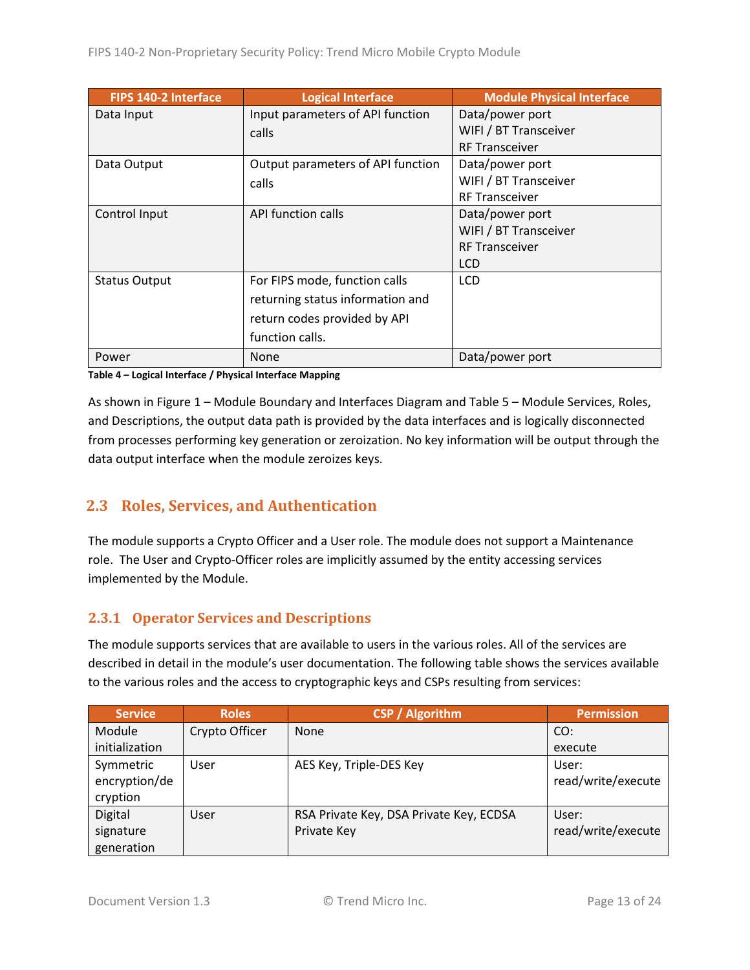| FIPS 140-2 Interface | <b>Logical Interface</b>          | <b>Module Physical Interface</b> |
|----------------------|-----------------------------------|----------------------------------|
| Data Input           | Input parameters of API function  | Data/power port                  |
|                      | calls                             | WIFI / BT Transceiver            |
|                      |                                   | <b>RF Transceiver</b>            |
| Data Output          | Output parameters of API function | Data/power port                  |
|                      | calls                             | WIFI / BT Transceiver            |
|                      |                                   | <b>RF Transceiver</b>            |
| Control Input        | <b>API function calls</b>         | Data/power port                  |
|                      |                                   | WIFI / BT Transceiver            |
|                      |                                   | <b>RF Transceiver</b>            |
|                      |                                   | <b>LCD</b>                       |
| <b>Status Output</b> | For FIPS mode, function calls     | <b>LCD</b>                       |
|                      | returning status information and  |                                  |
|                      | return codes provided by API      |                                  |
|                      | function calls.                   |                                  |
| Power                | <b>None</b>                       | Data/power port                  |

**Table 4 – Logical Interface / Physical Interface Mapping**

As shown in Figure 1 – [Module Boundary and Interfaces Diagram](#page-11-1) and Table 5 – Module [Services, Roles,](#page-13-2) [and Descriptions,](#page-13-2) the output data path is provided by the data interfaces and is logically disconnected from processes performing key generation or zeroization. No key information will be output through the data output interface when the module zeroizes keys.

## <span id="page-12-0"></span>**2.3 Roles, Services, and Authentication**

The module supports a Crypto Officer and a User role. The module does not support a Maintenance role. The User and Crypto-Officer roles are implicitly assumed by the entity accessing services implemented by the Module.

#### <span id="page-12-1"></span>**2.3.1 Operator Services and Descriptions**

The module supports services that are available to users in the various roles. All of the services are described in detail in the module's user documentation. The following table shows the services available to the various roles and the access to cryptographic keys and CSPs resulting from services:

| <b>Service</b> | <b>Roles</b>   | <b>CSP / Algorithm</b>                  | <b>Permission</b>  |
|----------------|----------------|-----------------------------------------|--------------------|
| Module         | Crypto Officer | None                                    | CO:                |
| initialization |                |                                         | execute            |
| Symmetric      | User           | AES Key, Triple-DES Key                 | User:              |
| encryption/de  |                |                                         | read/write/execute |
| cryption       |                |                                         |                    |
| Digital        | User           | RSA Private Key, DSA Private Key, ECDSA | User:              |
| signature      |                | Private Key                             | read/write/execute |
| generation     |                |                                         |                    |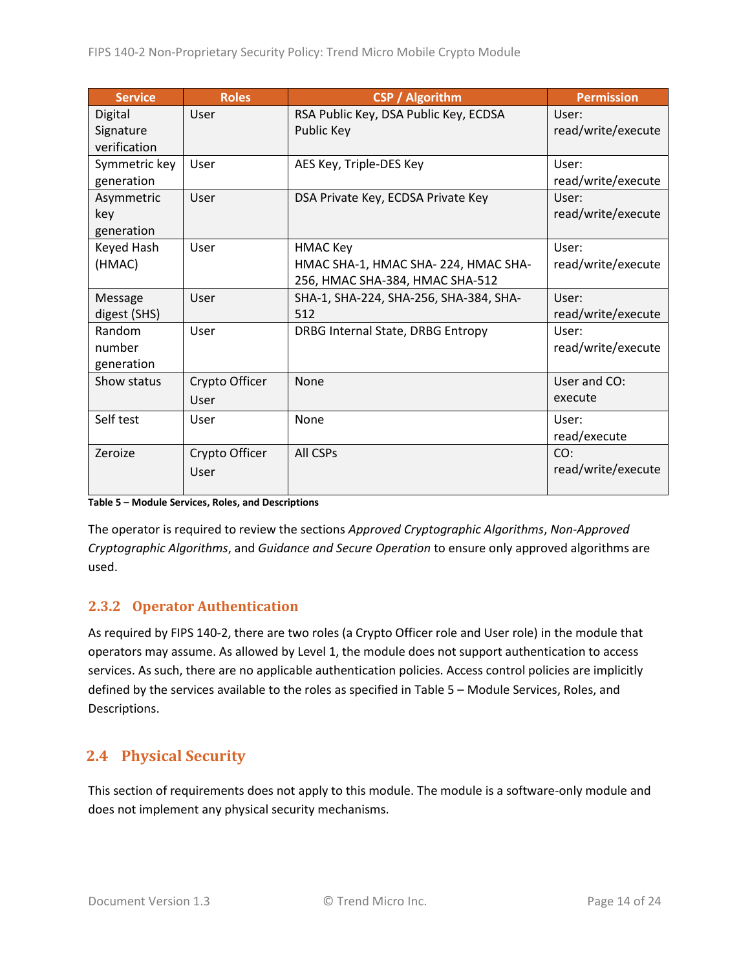| <b>Service</b> | <b>Roles</b>   | <b>CSP / Algorithm</b>                 | <b>Permission</b>  |
|----------------|----------------|----------------------------------------|--------------------|
| Digital        | User           | RSA Public Key, DSA Public Key, ECDSA  | User:              |
| Signature      |                | Public Key                             | read/write/execute |
| verification   |                |                                        |                    |
| Symmetric key  | User           | AES Key, Triple-DES Key                | User:              |
| generation     |                |                                        | read/write/execute |
| Asymmetric     | User           | DSA Private Key, ECDSA Private Key     | User:              |
| key            |                |                                        | read/write/execute |
| generation     |                |                                        |                    |
| Keyed Hash     | User           | <b>HMAC Key</b>                        | User:              |
| (HMAC)         |                | HMAC SHA-1, HMAC SHA-224, HMAC SHA-    | read/write/execute |
|                |                | 256, HMAC SHA-384, HMAC SHA-512        |                    |
| Message        | User           | SHA-1, SHA-224, SHA-256, SHA-384, SHA- | User:              |
| digest (SHS)   |                | 512                                    | read/write/execute |
| Random         | User           | DRBG Internal State, DRBG Entropy      | User:              |
| number         |                |                                        | read/write/execute |
| generation     |                |                                        |                    |
| Show status    | Crypto Officer | None                                   | User and CO:       |
|                | User           |                                        | execute            |
| Self test      | User           | None                                   | User:              |
|                |                |                                        | read/execute       |
| Zeroize        | Crypto Officer | All CSPs                               | CO:                |
|                | User           |                                        | read/write/execute |
|                |                |                                        |                    |

#### <span id="page-13-2"></span>**Table 5 – Module Services, Roles, and Descriptions**

The operator is required to review the sections *Approved Cryptographic Algorithms*, *Non-Approved Cryptographic Algorithms*, and *Guidance and Secure Operation* to ensure only approved algorithms are used.

#### <span id="page-13-0"></span>**2.3.2 Operator Authentication**

As required by FIPS 140-2, there are two roles (a Crypto Officer role and User role) in the module that operators may assume. As allowed by Level 1, the module does not support authentication to access services. As such, there are no applicable authentication policies. Access control policies are implicitly defined by the services available to the roles as specified in Table 5 – Module [Services, Roles,](#page-13-2) and [Descriptions.](#page-13-2)

# <span id="page-13-1"></span>**2.4 Physical Security**

This section of requirements does not apply to this module. The module is a software-only module and does not implement any physical security mechanisms.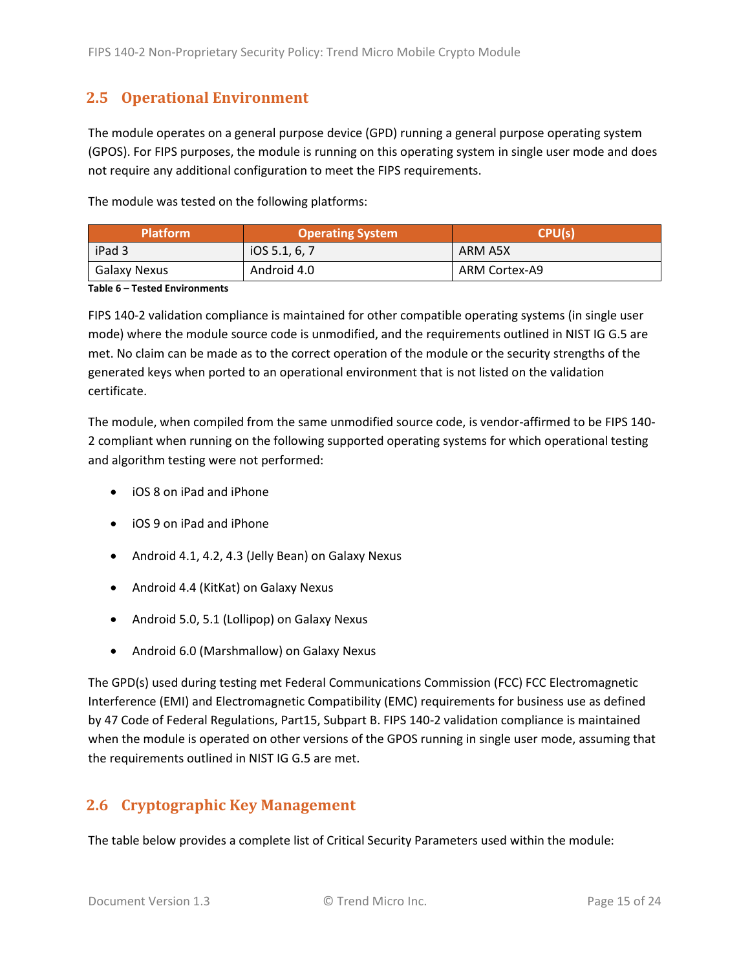## <span id="page-14-0"></span>**2.5 Operational Environment**

The module operates on a general purpose device (GPD) running a general purpose operating system (GPOS). For FIPS purposes, the module is running on this operating system in single user mode and does not require any additional configuration to meet the FIPS requirements.

The module was tested on the following platforms:

| <b>Platform</b> | <b>Operating System</b> | CPU(s)        |  |
|-----------------|-------------------------|---------------|--|
| iPad 3          | IOS 5.1, 6, 7           | ARM A5X       |  |
| Galaxy Nexus    | Android 4.0             | ARM Cortex-A9 |  |

#### **Table 6 – Tested Environments**

FIPS 140-2 validation compliance is maintained for other compatible operating systems (in single user mode) where the module source code is unmodified, and the requirements outlined in NIST IG G.5 are met. No claim can be made as to the correct operation of the module or the security strengths of the generated keys when ported to an operational environment that is not listed on the validation certificate.

The module, when compiled from the same unmodified source code, is vendor-affirmed to be FIPS 140- 2 compliant when running on the following supported operating systems for which operational testing and algorithm testing were not performed:

- iOS 8 on iPad and iPhone
- iOS 9 on iPad and iPhone
- Android 4.1, 4.2, 4.3 (Jelly Bean) on Galaxy Nexus
- Android 4.4 (KitKat) on Galaxy Nexus
- Android 5.0, 5.1 (Lollipop) on Galaxy Nexus
- Android 6.0 (Marshmallow) on Galaxy Nexus

The GPD(s) used during testing met Federal Communications Commission (FCC) FCC Electromagnetic Interference (EMI) and Electromagnetic Compatibility (EMC) requirements for business use as defined by 47 Code of Federal Regulations, Part15, Subpart B. FIPS 140-2 validation compliance is maintained when the module is operated on other versions of the GPOS running in single user mode, assuming that the requirements outlined in NIST IG G.5 are met.

## <span id="page-14-1"></span>**2.6 Cryptographic Key Management**

The table below provides a complete list of Critical Security Parameters used within the module: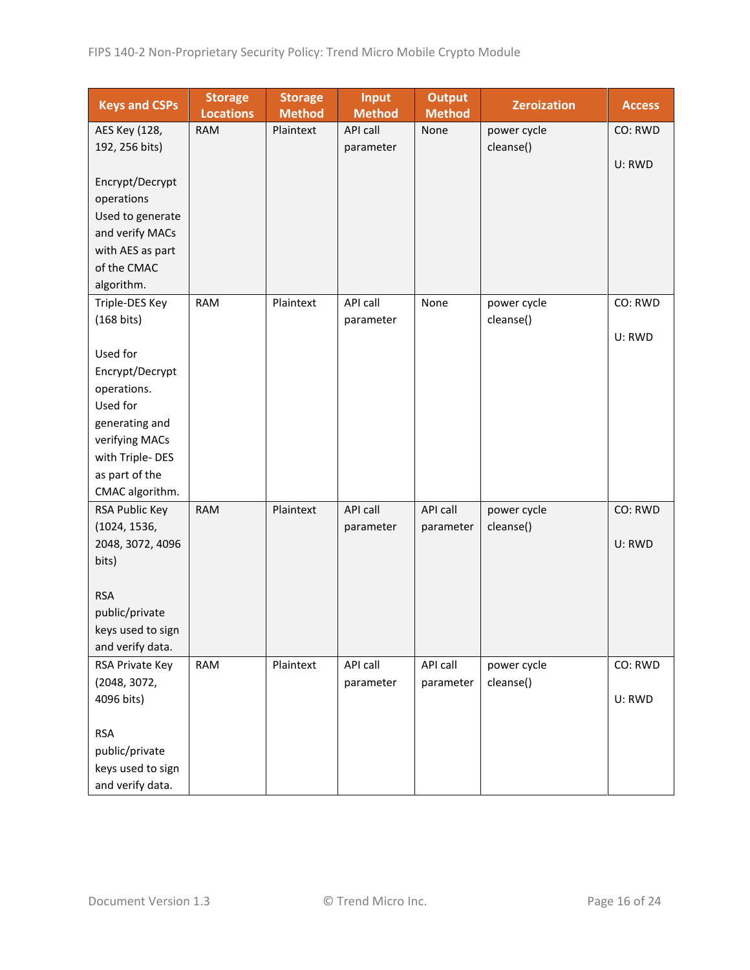| <b>Keys and CSPs</b> | <b>Storage</b><br><b>Locations</b> | <b>Storage</b><br><b>Method</b> | <b>Input</b><br><b>Method</b> | <b>Output</b><br><b>Method</b> | <b>Zeroization</b> | <b>Access</b> |
|----------------------|------------------------------------|---------------------------------|-------------------------------|--------------------------------|--------------------|---------------|
| AES Key (128,        | <b>RAM</b>                         | Plaintext                       | API call                      | None                           | power cycle        | CO: RWD       |
| 192, 256 bits)       |                                    |                                 | parameter                     |                                | cleanse()          |               |
|                      |                                    |                                 |                               |                                |                    | U: RWD        |
| Encrypt/Decrypt      |                                    |                                 |                               |                                |                    |               |
| operations           |                                    |                                 |                               |                                |                    |               |
| Used to generate     |                                    |                                 |                               |                                |                    |               |
| and verify MACs      |                                    |                                 |                               |                                |                    |               |
| with AES as part     |                                    |                                 |                               |                                |                    |               |
| of the CMAC          |                                    |                                 |                               |                                |                    |               |
| algorithm.           |                                    |                                 |                               |                                |                    |               |
| Triple-DES Key       | <b>RAM</b>                         | Plaintext                       | <b>API call</b>               | None                           | power cycle        | CO: RWD       |
| (168 bits)           |                                    |                                 | parameter                     |                                | cleanse()          |               |
|                      |                                    |                                 |                               |                                |                    | U: RWD        |
| Used for             |                                    |                                 |                               |                                |                    |               |
| Encrypt/Decrypt      |                                    |                                 |                               |                                |                    |               |
| operations.          |                                    |                                 |                               |                                |                    |               |
| Used for             |                                    |                                 |                               |                                |                    |               |
| generating and       |                                    |                                 |                               |                                |                    |               |
| verifying MACs       |                                    |                                 |                               |                                |                    |               |
| with Triple-DES      |                                    |                                 |                               |                                |                    |               |
| as part of the       |                                    |                                 |                               |                                |                    |               |
| CMAC algorithm.      |                                    |                                 |                               |                                |                    |               |
| RSA Public Key       | <b>RAM</b>                         | Plaintext                       | API call                      | API call                       | power cycle        | CO: RWD       |
| (1024, 1536,         |                                    |                                 | parameter                     | parameter                      | cleanse()          |               |
| 2048, 3072, 4096     |                                    |                                 |                               |                                |                    | U: RWD        |
| bits)                |                                    |                                 |                               |                                |                    |               |
|                      |                                    |                                 |                               |                                |                    |               |
| <b>RSA</b>           |                                    |                                 |                               |                                |                    |               |
| public/private       |                                    |                                 |                               |                                |                    |               |
| keys used to sign    |                                    |                                 |                               |                                |                    |               |
| and verify data.     |                                    |                                 |                               |                                |                    |               |
| RSA Private Key      | <b>RAM</b>                         | Plaintext                       | API call                      | API call                       | power cycle        | CO: RWD       |
| (2048, 3072,         |                                    |                                 | parameter                     | parameter                      | cleanse()          |               |
| 4096 bits)           |                                    |                                 |                               |                                |                    | U: RWD        |
|                      |                                    |                                 |                               |                                |                    |               |
| <b>RSA</b>           |                                    |                                 |                               |                                |                    |               |
| public/private       |                                    |                                 |                               |                                |                    |               |
| keys used to sign    |                                    |                                 |                               |                                |                    |               |
| and verify data.     |                                    |                                 |                               |                                |                    |               |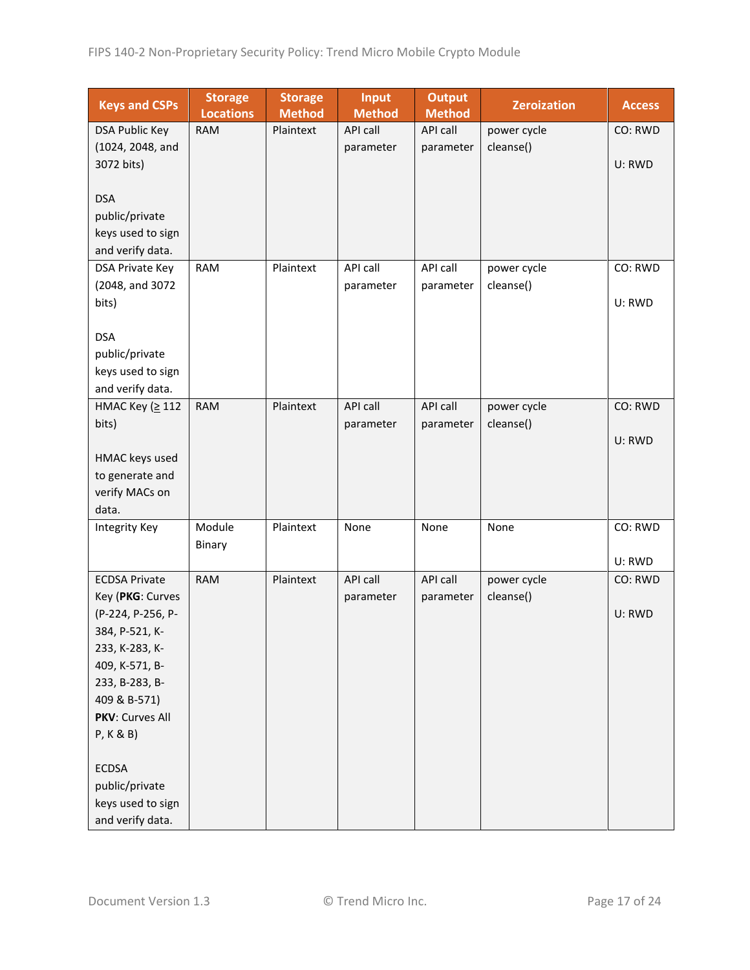| <b>Keys and CSPs</b>  | <b>Storage</b><br><b>Locations</b> | <b>Storage</b><br><b>Method</b> | <b>Input</b><br><b>Method</b> | <b>Output</b><br><b>Method</b> | <b>Zeroization</b> | <b>Access</b> |
|-----------------------|------------------------------------|---------------------------------|-------------------------------|--------------------------------|--------------------|---------------|
| <b>DSA Public Key</b> | <b>RAM</b>                         | Plaintext                       | API call                      | API call                       | power cycle        | CO: RWD       |
| (1024, 2048, and      |                                    |                                 | parameter                     | parameter                      | cleanse()          |               |
| 3072 bits)            |                                    |                                 |                               |                                |                    | U: RWD        |
|                       |                                    |                                 |                               |                                |                    |               |
| <b>DSA</b>            |                                    |                                 |                               |                                |                    |               |
| public/private        |                                    |                                 |                               |                                |                    |               |
| keys used to sign     |                                    |                                 |                               |                                |                    |               |
| and verify data.      |                                    |                                 |                               |                                |                    |               |
| DSA Private Key       | <b>RAM</b>                         | Plaintext                       | API call                      | API call                       | power cycle        | CO: RWD       |
| (2048, and 3072       |                                    |                                 | parameter                     | parameter                      | cleanse()          |               |
| bits)                 |                                    |                                 |                               |                                |                    | U: RWD        |
|                       |                                    |                                 |                               |                                |                    |               |
| <b>DSA</b>            |                                    |                                 |                               |                                |                    |               |
| public/private        |                                    |                                 |                               |                                |                    |               |
| keys used to sign     |                                    |                                 |                               |                                |                    |               |
| and verify data.      |                                    |                                 |                               |                                |                    |               |
| НМАС Кеу (≥112        | <b>RAM</b>                         | Plaintext                       | API call                      | API call                       | power cycle        | CO: RWD       |
| bits)                 |                                    |                                 | parameter                     | parameter                      | cleanse()          |               |
|                       |                                    |                                 |                               |                                |                    | U: RWD        |
| HMAC keys used        |                                    |                                 |                               |                                |                    |               |
| to generate and       |                                    |                                 |                               |                                |                    |               |
| verify MACs on        |                                    |                                 |                               |                                |                    |               |
| data.                 |                                    |                                 |                               |                                |                    |               |
| Integrity Key         | Module                             | Plaintext                       | None                          | None                           | None               | CO: RWD       |
|                       | Binary                             |                                 |                               |                                |                    |               |
|                       |                                    |                                 |                               |                                |                    | U: RWD        |
| <b>ECDSA Private</b>  | <b>RAM</b>                         | Plaintext                       | API call                      | API call                       | power cycle        | CO: RWD       |
| Key (PKG: Curves      |                                    |                                 | parameter                     | parameter                      | cleanse()          |               |
| (P-224, P-256, P-     |                                    |                                 |                               |                                |                    | U: RWD        |
| 384, P-521, K-        |                                    |                                 |                               |                                |                    |               |
| 233, K-283, K-        |                                    |                                 |                               |                                |                    |               |
| 409, K-571, B-        |                                    |                                 |                               |                                |                    |               |
| 233, B-283, B-        |                                    |                                 |                               |                                |                    |               |
| 409 & B-571)          |                                    |                                 |                               |                                |                    |               |
| PKV: Curves All       |                                    |                                 |                               |                                |                    |               |
| P, K & B)             |                                    |                                 |                               |                                |                    |               |
|                       |                                    |                                 |                               |                                |                    |               |
| <b>ECDSA</b>          |                                    |                                 |                               |                                |                    |               |
| public/private        |                                    |                                 |                               |                                |                    |               |
| keys used to sign     |                                    |                                 |                               |                                |                    |               |
| and verify data.      |                                    |                                 |                               |                                |                    |               |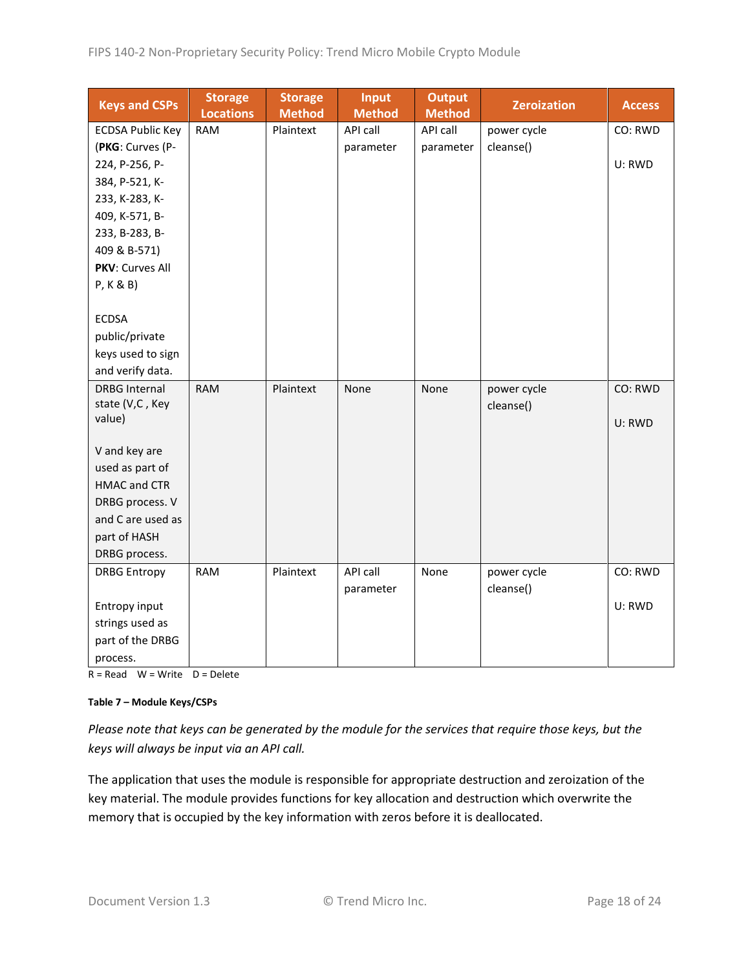| <b>Keys and CSPs</b>    | <b>Storage</b><br><b>Locations</b> | <b>Storage</b><br><b>Method</b> | <b>Input</b><br><b>Method</b> | <b>Output</b><br><b>Method</b> | <b>Zeroization</b> | <b>Access</b> |
|-------------------------|------------------------------------|---------------------------------|-------------------------------|--------------------------------|--------------------|---------------|
| <b>ECDSA Public Key</b> | <b>RAM</b>                         | Plaintext                       | API call                      | API call                       | power cycle        | CO: RWD       |
| (PKG: Curves (P-        |                                    |                                 | parameter                     | parameter                      | cleanse()          |               |
| 224, P-256, P-          |                                    |                                 |                               |                                |                    | U: RWD        |
| 384, P-521, K-          |                                    |                                 |                               |                                |                    |               |
| 233, K-283, K-          |                                    |                                 |                               |                                |                    |               |
| 409, K-571, B-          |                                    |                                 |                               |                                |                    |               |
| 233, B-283, B-          |                                    |                                 |                               |                                |                    |               |
| 409 & B-571)            |                                    |                                 |                               |                                |                    |               |
| PKV: Curves All         |                                    |                                 |                               |                                |                    |               |
| P, K & B)               |                                    |                                 |                               |                                |                    |               |
|                         |                                    |                                 |                               |                                |                    |               |
| <b>ECDSA</b>            |                                    |                                 |                               |                                |                    |               |
| public/private          |                                    |                                 |                               |                                |                    |               |
| keys used to sign       |                                    |                                 |                               |                                |                    |               |
| and verify data.        |                                    |                                 |                               |                                |                    |               |
| <b>DRBG Internal</b>    | <b>RAM</b>                         | Plaintext                       | None                          | None                           | power cycle        | CO: RWD       |
| state (V,C, Key         |                                    |                                 |                               |                                | cleanse()          |               |
| value)                  |                                    |                                 |                               |                                |                    | U: RWD        |
| V and key are           |                                    |                                 |                               |                                |                    |               |
| used as part of         |                                    |                                 |                               |                                |                    |               |
| <b>HMAC and CTR</b>     |                                    |                                 |                               |                                |                    |               |
| DRBG process. V         |                                    |                                 |                               |                                |                    |               |
| and C are used as       |                                    |                                 |                               |                                |                    |               |
| part of HASH            |                                    |                                 |                               |                                |                    |               |
| DRBG process.           |                                    |                                 |                               |                                |                    |               |
| <b>DRBG Entropy</b>     | <b>RAM</b>                         | Plaintext                       | API call                      | None                           | power cycle        | CO: RWD       |
|                         |                                    |                                 | parameter                     |                                | cleanse()          |               |
| Entropy input           |                                    |                                 |                               |                                |                    | U: RWD        |
| strings used as         |                                    |                                 |                               |                                |                    |               |
| part of the DRBG        |                                    |                                 |                               |                                |                    |               |
| process.                |                                    |                                 |                               |                                |                    |               |

 $R = Read \tW = Write \tD = Delete$ 

#### **Table 7 – Module Keys/CSPs**

*Please note that keys can be generated by the module for the services that require those keys, but the keys will always be input via an API call.*

The application that uses the module is responsible for appropriate destruction and zeroization of the key material. The module provides functions for key allocation and destruction which overwrite the memory that is occupied by the key information with zeros before it is deallocated.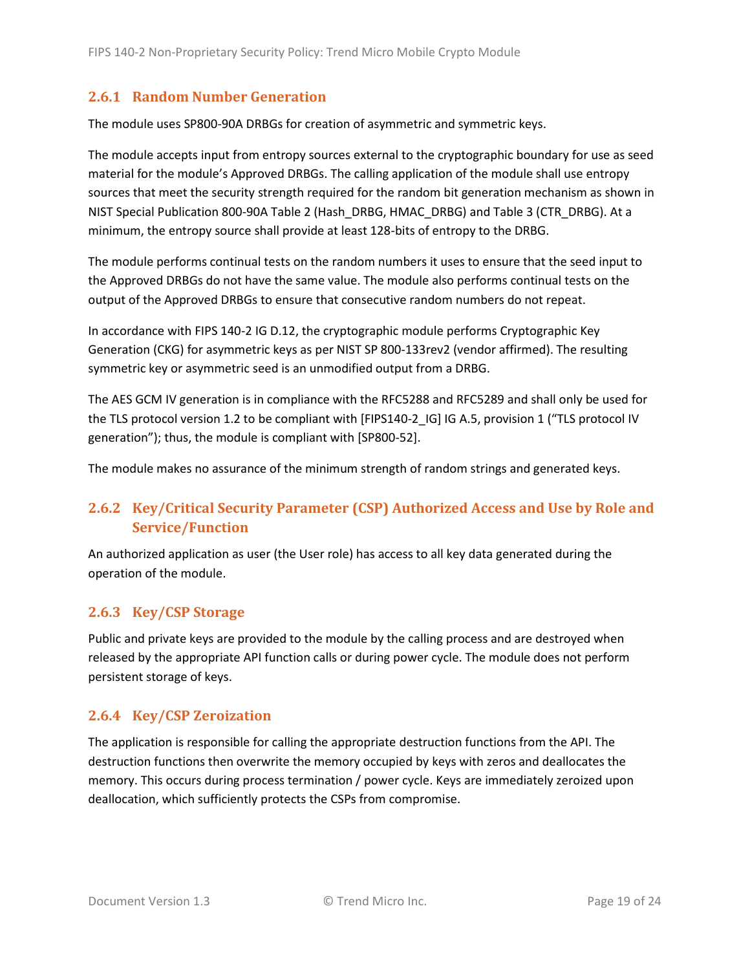#### <span id="page-18-0"></span>**2.6.1 Random Number Generation**

The module uses SP800-90A DRBGs for creation of asymmetric and symmetric keys.

The module accepts input from entropy sources external to the cryptographic boundary for use as seed material for the module's Approved DRBGs. The calling application of the module shall use entropy sources that meet the security strength required for the random bit generation mechanism as shown in NIST Special Publication 800-90A Table 2 (Hash\_DRBG, HMAC\_DRBG) and Table 3 (CTR\_DRBG). At a minimum, the entropy source shall provide at least 128-bits of entropy to the DRBG.

The module performs continual tests on the random numbers it uses to ensure that the seed input to the Approved DRBGs do not have the same value. The module also performs continual tests on the output of the Approved DRBGs to ensure that consecutive random numbers do not repeat.

In accordance with FIPS 140-2 IG D.12, the cryptographic module performs Cryptographic Key Generation (CKG) for asymmetric keys as per NIST SP 800-133rev2 (vendor affirmed). The resulting symmetric key or asymmetric seed is an unmodified output from a DRBG.

The AES GCM IV generation is in compliance with the RFC5288 and RFC5289 and shall only be used for the TLS protocol version 1.2 to be compliant with [FIPS140-2 IG] IG A.5, provision 1 ("TLS protocol IV generation"); thus, the module is compliant with [SP800-52].

The module makes no assurance of the minimum strength of random strings and generated keys.

## <span id="page-18-1"></span>**2.6.2 Key/Critical Security Parameter (CSP) Authorized Access and Use by Role and Service/Function**

An authorized application as user (the User role) has access to all key data generated during the operation of the module.

## <span id="page-18-2"></span>**2.6.3 Key/CSP Storage**

Public and private keys are provided to the module by the calling process and are destroyed when released by the appropriate API function calls or during power cycle. The module does not perform persistent storage of keys.

#### <span id="page-18-3"></span>**2.6.4 Key/CSP Zeroization**

The application is responsible for calling the appropriate destruction functions from the API. The destruction functions then overwrite the memory occupied by keys with zeros and deallocates the memory. This occurs during process termination / power cycle. Keys are immediately zeroized upon deallocation, which sufficiently protects the CSPs from compromise.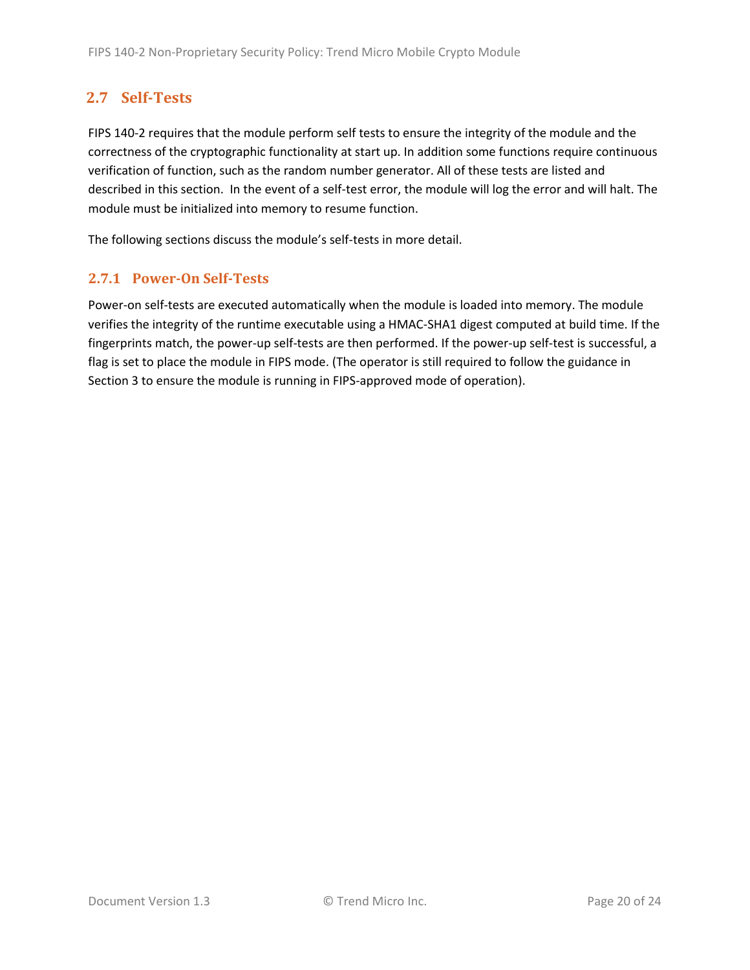# <span id="page-19-0"></span>**2.7 Self-Tests**

FIPS 140-2 requires that the module perform self tests to ensure the integrity of the module and the correctness of the cryptographic functionality at start up. In addition some functions require continuous verification of function, such as the random number generator. All of these tests are listed and described in this section. In the event of a self-test error, the module will log the error and will halt. The module must be initialized into memory to resume function.

The following sections discuss the module's self-tests in more detail.

#### <span id="page-19-1"></span>**2.7.1 Power-On Self-Tests**

Power-on self-tests are executed automatically when the module is loaded into memory. The module verifies the integrity of the runtime executable using a HMAC-SHA1 digest computed at build time. If the fingerprints match, the power-up self-tests are then performed. If the power-up self-test is successful, a flag is set to place the module in FIPS mode. (The operator is still required to follow the guidance in Section 3 to ensure the module is running in FIPS-approved mode of operation).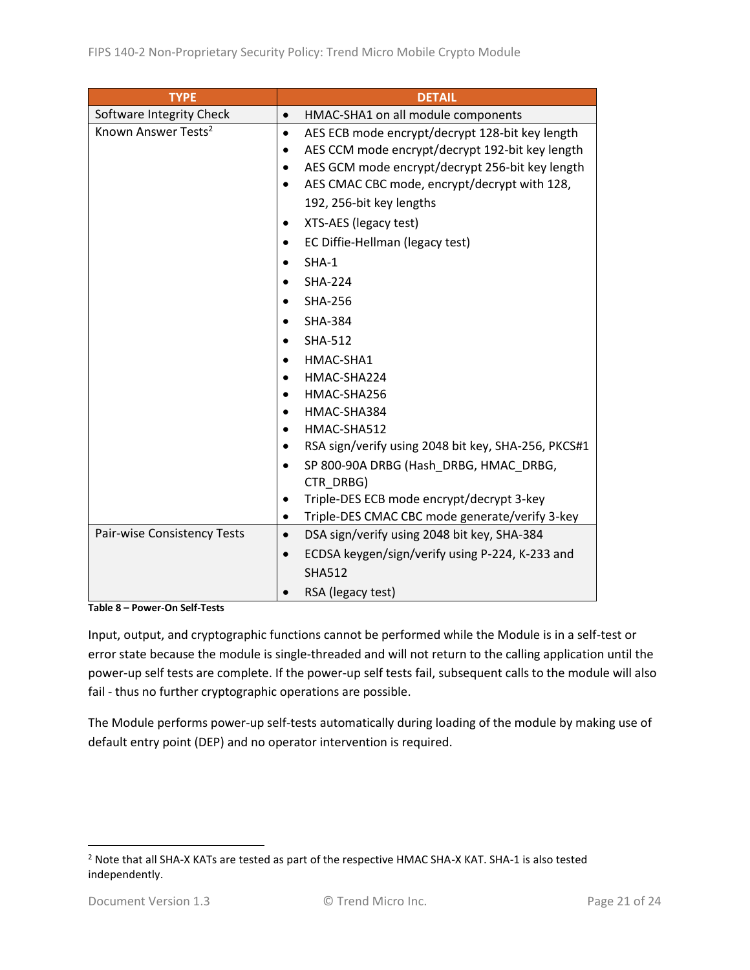| <b>TYPE</b>                     | <b>DETAIL</b>                                                |
|---------------------------------|--------------------------------------------------------------|
| Software Integrity Check        | HMAC-SHA1 on all module components<br>$\bullet$              |
| Known Answer Tests <sup>2</sup> | AES ECB mode encrypt/decrypt 128-bit key length<br>$\bullet$ |
|                                 | AES CCM mode encrypt/decrypt 192-bit key length<br>$\bullet$ |
|                                 | AES GCM mode encrypt/decrypt 256-bit key length              |
|                                 | AES CMAC CBC mode, encrypt/decrypt with 128,<br>$\bullet$    |
|                                 | 192, 256-bit key lengths                                     |
|                                 | XTS-AES (legacy test)                                        |
|                                 | EC Diffie-Hellman (legacy test)                              |
|                                 | $SHA-1$                                                      |
|                                 | <b>SHA-224</b>                                               |
|                                 | <b>SHA-256</b>                                               |
|                                 | <b>SHA-384</b>                                               |
|                                 | <b>SHA-512</b>                                               |
|                                 | HMAC-SHA1                                                    |
|                                 | HMAC-SHA224                                                  |
|                                 | HMAC-SHA256<br>$\bullet$                                     |
|                                 | HMAC-SHA384                                                  |
|                                 | HMAC-SHA512<br>$\bullet$                                     |
|                                 | RSA sign/verify using 2048 bit key, SHA-256, PKCS#1          |
|                                 | SP 800-90A DRBG (Hash DRBG, HMAC DRBG,<br>CTR_DRBG)          |
|                                 | Triple-DES ECB mode encrypt/decrypt 3-key                    |
|                                 | Triple-DES CMAC CBC mode generate/verify 3-key<br>$\bullet$  |
| Pair-wise Consistency Tests     | DSA sign/verify using 2048 bit key, SHA-384<br>$\bullet$     |
|                                 | ECDSA keygen/sign/verify using P-224, K-233 and<br>$\bullet$ |
|                                 | <b>SHA512</b>                                                |
|                                 | RSA (legacy test)                                            |

**Table 8 – Power-On Self-Tests**

Input, output, and cryptographic functions cannot be performed while the Module is in a self-test or error state because the module is single-threaded and will not return to the calling application until the power-up self tests are complete. If the power-up self tests fail, subsequent calls to the module will also fail - thus no further cryptographic operations are possible.

The Module performs power-up self-tests automatically during loading of the module by making use of default entry point (DEP) and no operator intervention is required.

<sup>2</sup> Note that all SHA-X KATs are tested as part of the respective HMAC SHA-X KAT. SHA-1 is also tested independently.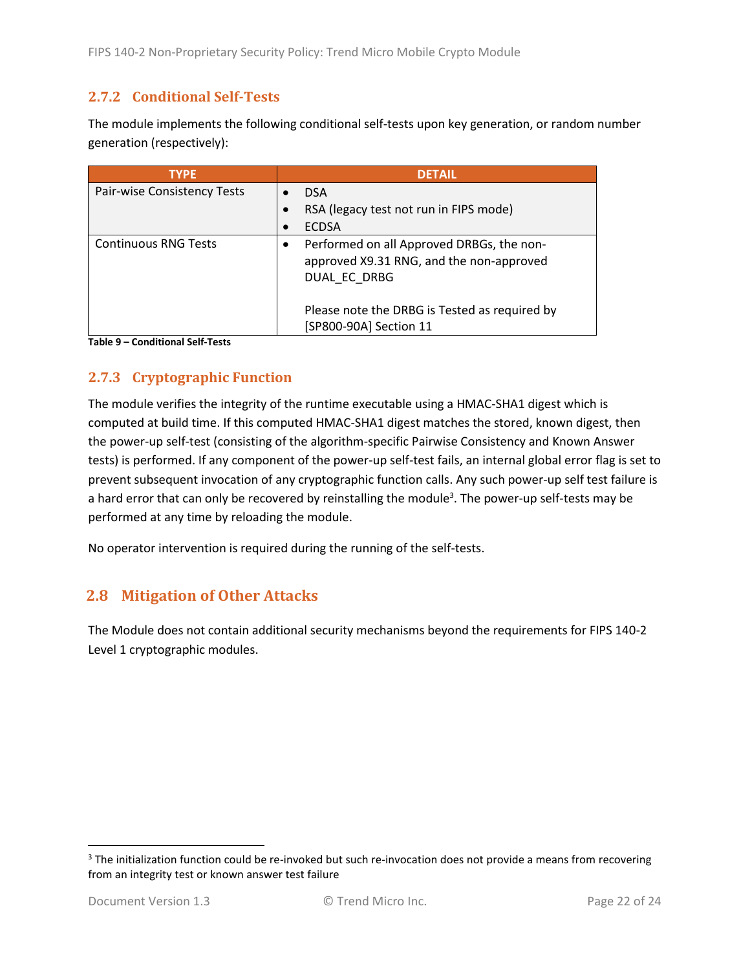#### <span id="page-21-0"></span>**2.7.2 Conditional Self-Tests**

The module implements the following conditional self-tests upon key generation, or random number generation (respectively):

| <b>TYPE</b>                 | <b>DETAIL</b>                                                                                         |
|-----------------------------|-------------------------------------------------------------------------------------------------------|
| Pair-wise Consistency Tests | <b>DSA</b>                                                                                            |
|                             | RSA (legacy test not run in FIPS mode)                                                                |
|                             | <b>ECDSA</b>                                                                                          |
| <b>Continuous RNG Tests</b> | Performed on all Approved DRBGs, the non-<br>approved X9.31 RNG, and the non-approved<br>DUAL EC DRBG |
|                             | Please note the DRBG is Tested as required by<br>[SP800-90A] Section 11                               |

**Table 9 – Conditional Self-Tests**

## <span id="page-21-1"></span>**2.7.3 Cryptographic Function**

The module verifies the integrity of the runtime executable using a HMAC-SHA1 digest which is computed at build time. If this computed HMAC-SHA1 digest matches the stored, known digest, then the power-up self-test (consisting of the algorithm-specific Pairwise Consistency and Known Answer tests) is performed. If any component of the power-up self-test fails, an internal global error flag is set to prevent subsequent invocation of any cryptographic function calls. Any such power-up self test failure is a hard error that can only be recovered by reinstalling the module<sup>3</sup>. The power-up self-tests may be performed at any time by reloading the module.

No operator intervention is required during the running of the self-tests.

## <span id="page-21-2"></span>**2.8 Mitigation of Other Attacks**

The Module does not contain additional security mechanisms beyond the requirements for FIPS 140-2 Level 1 cryptographic modules.

<sup>&</sup>lt;sup>3</sup> The initialization function could be re-invoked but such re-invocation does not provide a means from recovering from an integrity test or known answer test failure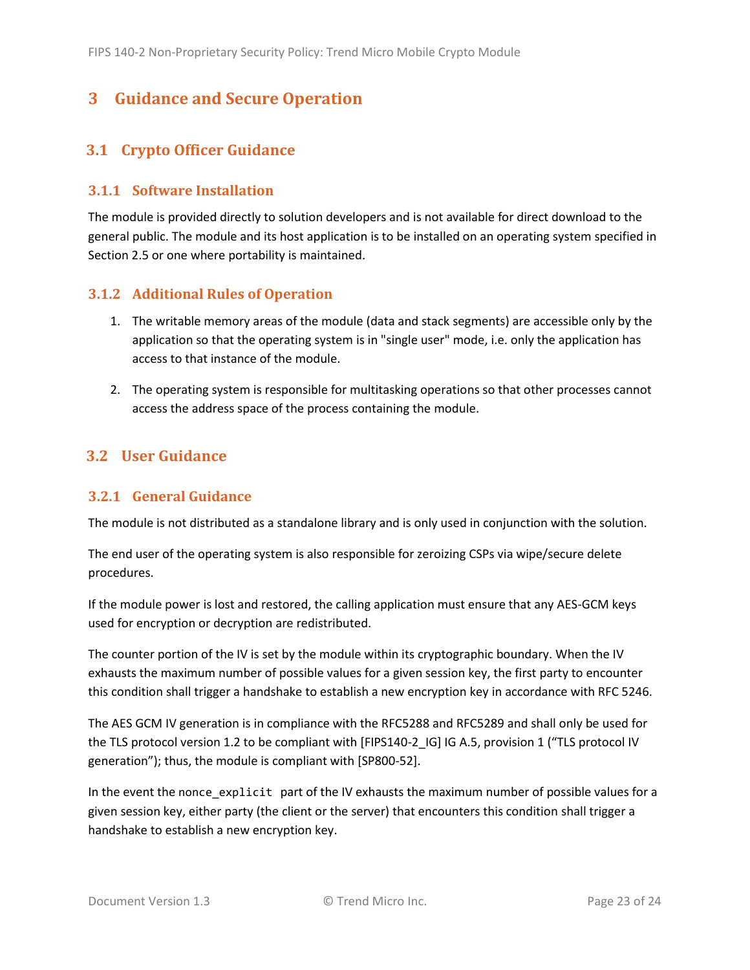# <span id="page-22-0"></span>**3 Guidance and Secure Operation**

## <span id="page-22-1"></span>**3.1 Crypto Officer Guidance**

#### <span id="page-22-2"></span>**3.1.1 Software Installation**

The module is provided directly to solution developers and is not available for direct download to the general public. The module and its host application is to be installed on an operating system specified in Sectio[n 2.5](#page-14-0) or one where portability is maintained.

#### <span id="page-22-3"></span>**3.1.2 Additional Rules of Operation**

- 1. The writable memory areas of the module (data and stack segments) are accessible only by the application so that the operating system is in "single user" mode, i.e. only the application has access to that instance of the module.
- 2. The operating system is responsible for multitasking operations so that other processes cannot access the address space of the process containing the module.

## <span id="page-22-4"></span>**3.2 User Guidance**

#### <span id="page-22-5"></span>**3.2.1 General Guidance**

The module is not distributed as a standalone library and is only used in conjunction with the solution.

The end user of the operating system is also responsible for zeroizing CSPs via wipe/secure delete procedures.

If the module power is lost and restored, the calling application must ensure that any AES-GCM keys used for encryption or decryption are redistributed.

The counter portion of the IV is set by the module within its cryptographic boundary. When the IV exhausts the maximum number of possible values for a given session key, the first party to encounter this condition shall trigger a handshake to establish a new encryption key in accordance with RFC 5246.

The AES GCM IV generation is in compliance with the RFC5288 and RFC5289 and shall only be used for the TLS protocol version 1.2 to be compliant with [FIPS140-2 IG] IG A.5, provision 1 ("TLS protocol IV generation"); thus, the module is compliant with [SP800-52].

In the event the nonce\_explicit part of the IV exhausts the maximum number of possible values for a given session key, either party (the client or the server) that encounters this condition shall trigger a handshake to establish a new encryption key.